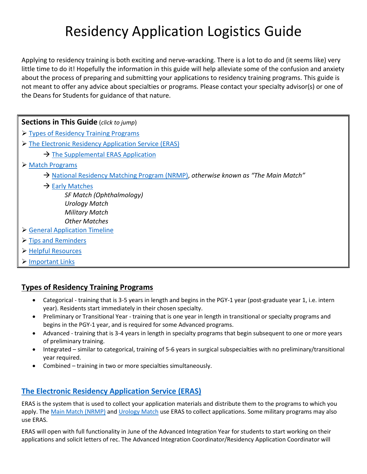# Residency Application Logistics Guide

Applying to residency training is both exciting and nerve-wracking. There is a lot to do and (it seems like) very little time to do it! Hopefully the information in this guide will help alleviate some of the confusion and anxiety about the process of preparing and submitting your applications to residency training programs. This guide is not meant to offer any advice about specialties or programs. Please contact your specialty advisor(s) or one of the Deans for Students for guidance of that nature.

## **Sections in This Guide** (*click to jump*)

- [Types of Residency Training Programs](#page-0-0)
- > [The Electronic Residency Application Service \(ERAS\)](#page-0-1)
	- $\rightarrow$  [The Supplemental ERAS Application](#page-2-0)
- [Match Programs](#page-2-1)
	- [National Residency Matching Program \(NRMP\),](#page-2-2) *otherwise known as "The Main Match"*
	- $\rightarrow$  [Early Matches](#page-2-3)

*SF Match (Ophthalmology) Urology Match Military Match Other Matches*

- [General Application Timeline](#page-3-0)
- $\triangleright$  Tips [and Reminders](#page-4-0)
- [Helpful Resources](#page-4-1)
- **▶ [Important Links](#page-4-2)**

## <span id="page-0-0"></span>**Types of Residency Training Programs**

- Categorical training that is 3-5 years in length and begins in the PGY-1 year (post-graduate year 1, i.e. intern year). Residents start immediately in their chosen specialty.
- Preliminary or Transitional Year training that is one year in length in transitional or specialty programs and begins in the PGY-1 year, and is required for some Advanced programs.
- Advanced training that is 3-4 years in length in specialty programs that begin subsequent to one or more years of preliminary training.
- Integrated similar to categorical, training of 5-6 years in surgical subspecialties with no preliminary/transitional year required.
- Combined training in two or more specialties simultaneously.

## <span id="page-0-1"></span>**[The Electronic Residency Application Service \(ERAS\)](https://students-residents.aamc.org/applying-residencies-eras/applying-residencies-eras)**

ERAS is the system that is used to collect your application materials and distribute them to the programs to which you apply. Th[e Main Match \(NRMP\)](#page-2-2) and [Urology Match](#page-2-4) use ERAS to collect applications. Some military programs may also use ERAS.

ERAS will open with full functionality in June of the Advanced Integration Year for students to start working on their applications and solicit letters of rec. The Advanced Integration Coordinator/Residency Application Coordinator will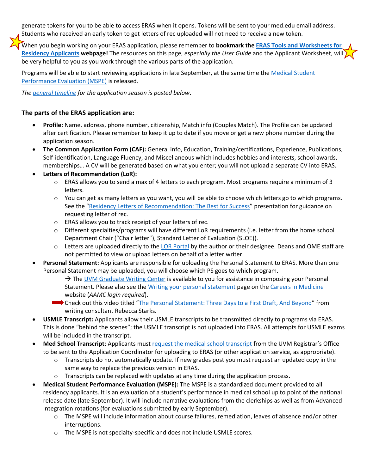generate tokens for you to be able to access ERAS when it opens. Tokens will be sent to your med.edu email address. Students who received an early token to get letters of rec uploaded will not need to receive a new token.

When you begin working on your ERAS application, please remember to **bookmark the [ERAS Tools and Worksheets for](https://students-residents.aamc.org/eras-tools-and-worksheets-residency-applicants/eras-tools-and-worksheets-residency-applicants)  [Residency Applicants](https://students-residents.aamc.org/eras-tools-and-worksheets-residency-applicants/eras-tools-and-worksheets-residency-applicants) webpage!** The resources on this page, *especially the User Guide* and the Applicant Worksheet, will  $\lambda$ be very helpful to you as you work through the various parts of the application.

Programs will be able to start reviewing applications in late September, at the same time the [Medical Student](#page-1-0)  [Performance Evaluation \(MSPE\)](#page-1-0) is released.

*The [general timeline](#page-3-0) for the application season is posted below*.

#### **The parts of the ERAS application are:**

- **Profile:** Name, address, phone number, citizenship, Match info (Couples Match). The Profile can be updated after certification. Please remember to keep it up to date if you move or get a new phone number during the application season.
- **The Common Application Form (CAF):** General info, Education, Training/certifications, Experience, Publications, Self-identification, Language Fluency, and Miscellaneous which includes hobbies and interests, school awards, memberships… A CV will be generated based on what you enter; you will not upload a separate CV into ERAS.
- **Letters of Recommendation (LoR):**
	- $\circ$  ERAS allows you to send a max of 4 letters to each program. Most programs require a minimum of 3 letters.
	- $\circ$  You can get as many letters as you want, you will be able to choose which letters go to which programs. See the "[Residency Letters of Recommendation: The Best for Success](https://view.officeapps.live.com/op/view.aspx?src=http%3A%2F%2Fmed.uvm.edu%2Fdocs%2Flor_tapresentation_20170519rev%2Fmedical-education-documents%2Fstudent-affairs%2Flor_tapresentation_20170519rev.pptx&wdOrigin=BROWSELINK)" presentation for guidance on requesting letter of rec.
	- o ERAS allows you to track receipt of your letters of rec.
	- o Different specialties/programs will have different LoR requirements (i.e. letter from the home school Department Chair ("Chair letter"), Standard Letter of Evaluation (SLOE)).
	- $\circ$  Letters are uploaded directly to th[e LOR Portal](https://www.aamc.org/services/eras-for-institutions/lor-portal) by the author or their designee. Deans and OME staff are not permitted to view or upload letters on behalf of a letter writer.
- **Personal Statement:** Applicants are responsible for uploading the Personal Statement to ERAS. More than one Personal Statement may be uploaded, you will choose which PS goes to which program.
	- $\rightarrow$  Th[e UVM Graduate Writing Center](https://www.uvm.edu/gradwriting) is available to you for assistance in composing your Personal Statement. Please also see the [Writing your personal statement](https://www.aamc.org/cim/prepare-residency/writing-your-personal-statement) page on the [Careers in Medicine](https://www.aamc.org/cim/) website (*AAMC login required*).
	- Check out this video titled "[The Personal Statement: Three Days to a First Draft, And Beyond](https://drive.google.com/file/d/1Bi91z-7QK4yBqQLJSm8cttoxK_56Ae3z/view)" from writing consultant Rebecca Starks.
- **USMLE Transcript:** Applicants allow their USMLE transcripts to be transmitted directly to programs via ERAS. This is done "behind the scenes"; the USMLE transcript is not uploaded into ERAS. All attempts for USMLE exams will be included in the transcript.
- **Med School Transcript**: Applicants must [request the medical school transcript](http://contentmanager.med.uvm.edu/docs/res_app_tx_request/medical-education-documents/student-affairs/res_app_tx_request.pdf?sfvrsn=e6abcfd0_2) from the UVM Registrar's Office to be sent to the Application Coordinator for uploading to ERAS (or other application service, as appropriate).
	- o Transcripts do not automatically update. If new grades post you must request an updated copy in the same way to replace the previous version in ERAS.
	- $\circ$  Transcripts can be replaced with updates at any time during the application process.
- <span id="page-1-0"></span> **Medical Student Performance Evaluation (MSPE):** The MSPE is a standardized document provided to all residency applicants. It is an evaluation of a student's performance in medical school up to point of the national release date (late September). It will include narrative evaluations from the clerkships as well as from Advanced Integration rotations (for evaluations submitted by early September).
	- o The MSPE will include information about course failures, remediation, leaves of absence and/or other interruptions.
	- o The MSPE is not specialty-specific and does not include USMLE scores.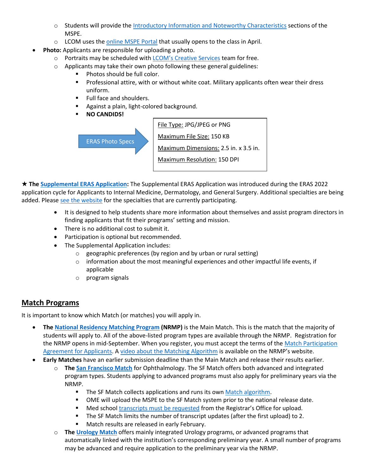- o Students will provide the [Introductory Information and Noteworthy Characteristics](http://contentmanager.med.uvm.edu/docs/mspeexamples/medical-education-documents/student-affairs/mspeexamples.pdf?sfvrsn=2) sections of the MSPE.
- o LCOM uses th[e online MSPE Portal](https://comis.med.uvm.edu/mspe/) that usually opens to the class in April.
- **Photo:** Applicants are responsible for uploading a photo.
	- o Portraits may be scheduled with [LCOM's Creative Services](http://www.med.uvm.edu/medcommunications/creativeservices) team for free.
	- o Applicants may take their own photo following these general guidelines:
		- **Photos should be full color.**
		- **Professional attire, with or without white coat. Military applicants often wear their dress** uniform.
		- **Full face and shoulders.**
		- **Against a plain, light-colored background.**
		- **NO CANDIDS!**

ERAS Photo Specs

File Type: JPG/JPEG or PNG Maximum File Size: 150 KB Maximum Dimensions: 2.5 in. x 3.5 in. Maximum Resolution: 150 DPI

<span id="page-2-0"></span> **Th[e Supplemental ERAS Application:](https://students-residents.aamc.org/applying-residencies-eras/supplementalerasapplication)** The Supplemental ERAS Application was introduced during the ERAS 2022 application cycle for Applicants to Internal Medicine, Dermatology, and General Surgery. Additional specialties are being added. Pleas[e see the website](https://students-residents.aamc.org/applying-residencies-eras/supplemental-eras-application-eras-2023-cycle) for the specialties that are currently participating.

- It is designed to help students share more information about themselves and assist program directors in finding applicants that fit their programs' setting and mission.
- There is no additional cost to submit it.
- Participation is optional but recommended.
- The Supplemental Application includes:
	- $\circ$  geographic preferences (by region and by urban or rural setting)
	- $\circ$  information about the most meaningful experiences and other impactful life events, if applicable
	- o program signals

## <span id="page-2-1"></span>**Match Programs**

It is important to know which Match (or matches) you will apply in.

- <span id="page-2-2"></span> **The [National Residency Matching Program](https://www.nrmp.org/) (NRMP)** is the Main Match. This is the match that the majority of students will apply to. All of the above-listed program types are available through the NRMP. Registration for the NRMP opens in mid-September. When you register, you must accept the terms of the Match Participation [Agreement for Applicants.](https://www.nrmp.org/policies/) A [video about the Matching Algorithm](https://www.nrmp.org/intro-to-the-match/how-matching-algorithm-works/) is available on the NRMP's website.
- <span id="page-2-4"></span><span id="page-2-3"></span> **Early Matches** have an earlier submission deadline than the Main Match and release their results earlier.
	- o **The [San Francisco Match](https://www.sfmatch.org/)** for Ophthalmology. The SF Match offers both advanced and integrated program types. Students applying to advanced programs must also apply for preliminary years via the NRMP.
		- The SF Match collects applications and runs its own [Match algorithm.](https://www.sfmatch.org/about/how-match-works)
		- OME will upload the MSPE to the SF Match system prior to the national release date.
		- Med schoo[l transcripts must be requested](http://contentmanager.med.uvm.edu/docs/res_app_tx_request/medical-education-documents/student-affairs/res_app_tx_request.pdf?sfvrsn=e6abcfd0_2) from the Registrar's Office for upload.
		- The SF Match limits the number of transcript updates (after the first upload) to 2.
		- **Match results are released in early February.**
	- o **The [Urology Match](https://www.urologymatch.com/)** offers mainly integrated Urology programs, or advanced programs that automatically linked with the institution's corresponding preliminary year. A small number of programs may be advanced and require application to the preliminary year via the NRMP.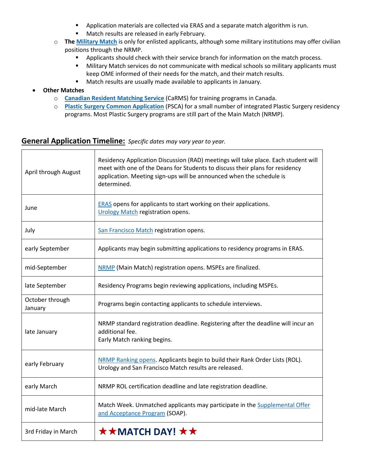- **•** Application materials are collected via ERAS and a separate match algorithm is run.
- **Match results are released in early February.**
- o **The [Military Match](https://www.aamc.org/cim/explore-options/opportunities-military)** is only for enlisted applicants, although some military institutions may offer civilian positions through the NRMP.
	- **Applicants should check with their service branch for information on the match process.**
	- **Military Match services do not communicate with medical schools so military applicants must** keep OME informed of their needs for the match, and their match results.
	- **Match results are usually made available to applicants in January.**
- **Other Matches**
	- o **[Canadian Resident Matching Service](https://www.carms.ca/)** (CaRMS) for training programs in Canada.
	- o **[Plastic Surgery Common Application](https://acaplasticsurgeons.org/PSCA/)** (PSCA) for a small number of integrated Plastic Surgery residency programs. Most Plastic Surgery programs are still part of the Main Match (NRMP).

### <span id="page-3-0"></span>**General Application Timeline:** *Specific dates may vary year to year.*

| April through August       | Residency Application Discussion (RAD) meetings will take place. Each student will<br>meet with one of the Deans for Students to discuss their plans for residency<br>application. Meeting sign-ups will be announced when the schedule is<br>determined. |
|----------------------------|-----------------------------------------------------------------------------------------------------------------------------------------------------------------------------------------------------------------------------------------------------------|
| June                       | <b>ERAS</b> opens for applicants to start working on their applications.<br>Urology Match registration opens.                                                                                                                                             |
| July                       | San Francisco Match registration opens.                                                                                                                                                                                                                   |
| early September            | Applicants may begin submitting applications to residency programs in ERAS.                                                                                                                                                                               |
| mid-September              | NRMP (Main Match) registration opens. MSPEs are finalized.                                                                                                                                                                                                |
| late September             | Residency Programs begin reviewing applications, including MSPEs.                                                                                                                                                                                         |
| October through<br>January | Programs begin contacting applicants to schedule interviews.                                                                                                                                                                                              |
| late January               | NRMP standard registration deadline. Registering after the deadline will incur an<br>additional fee.<br>Early Match ranking begins.                                                                                                                       |
| early February             | NRMP Ranking opens. Applicants begin to build their Rank Order Lists (ROL).<br>Urology and San Francisco Match results are released.                                                                                                                      |
| early March                | NRMP ROL certification deadline and late registration deadline.                                                                                                                                                                                           |
| mid-late March             | Match Week. Unmatched applicants may participate in the Supplemental Offer<br>and Acceptance Program (SOAP).                                                                                                                                              |
| 3rd Friday in March        | <b>★★MATCH DAY! ★★</b>                                                                                                                                                                                                                                    |